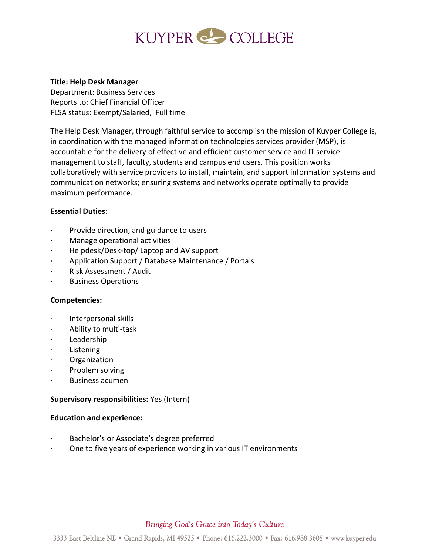# KUYPER COLLEGE

#### **Title: Help Desk Manager**

Department: Business Services Reports to: Chief Financial Officer FLSA status: Exempt/Salaried, Full time

The Help Desk Manager, through faithful service to accomplish the mission of Kuyper College is, in coordination with the managed information technologies services provider (MSP), is accountable for the delivery of effective and efficient customer service and IT service management to staff, faculty, students and campus end users. This position works collaboratively with service providers to install, maintain, and support information systems and communication networks; ensuring systems and networks operate optimally to provide maximum performance.

# **Essential Duties**:

- Provide direction, and guidance to users
- · Manage operational activities
- · Helpdesk/Desk-top/ Laptop and AV support
- · Application Support / Database Maintenance / Portals
- · Risk Assessment / Audit
- · Business Operations

# **Competencies:**

- · Interpersonal skills
- · Ability to multi-task
- · Leadership
- **Listening**
- · Organization
- Problem solving
- Business acumen

# **Supervisory responsibilities:** Yes (Intern)

#### **Education and experience:**

- Bachelor's or Associate's degree preferred
- · One to five years of experience working in various IT environments

# Bringing God's Grace into Today's Culture